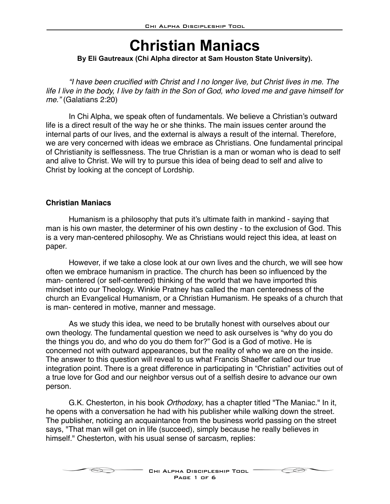# **Christian Maniacs**

#### **By Eli Gautreaux (Chi Alpha director at Sam Houston State University).**

*"I have been crucified with Christ and I no longer live, but Christ lives in me. The life I live in the body, I live by faith in the Son of God, who loved me and gave himself for me."* (Galatians 2:20)

In Chi Alpha, we speak often of fundamentals. We believe a Christian's outward life is a direct result of the way he or she thinks. The main issues center around the internal parts of our lives, and the external is always a result of the internal. Therefore, we are very concerned with ideas we embrace as Christians. One fundamental principal of Christianity is selflessness. The true Christian is a man or woman who is dead to self and alive to Christ. We will try to pursue this idea of being dead to self and alive to Christ by looking at the concept of Lordship.

#### **Christian Maniacs**

Humanism is a philosophy that puts it's ultimate faith in mankind - saying that man is his own master, the determiner of his own destiny - to the exclusion of God. This is a very man-centered philosophy. We as Christians would reject this idea, at least on paper.

However, if we take a close look at our own lives and the church, we will see how often we embrace humanism in practice. The church has been so influenced by the man- centered (or self-centered) thinking of the world that we have imported this mindset into our Theology. Winkie Pratney has called the man centeredness of the church an Evangelical Humanism, or a Christian Humanism. He speaks of a church that is man- centered in motive, manner and message.

As we study this idea, we need to be brutally honest with ourselves about our own theology. The fundamental question we need to ask ourselves is "why do you do the things you do, and who do you do them for?" God is a God of motive. He is concerned not with outward appearances, but the reality of who we are on the inside. The answer to this question will reveal to us what Francis Shaeffer called our true integration point. There is a great difference in participating in "Christian" activities out of a true love for God and our neighbor versus out of a selfish desire to advance our own person.

G.K. Chesterton, in his book *Orthodoxy*, has a chapter titled "The Maniac." In it, he opens with a conversation he had with his publisher while walking down the street. The publisher, noticing an acquaintance from the business world passing on the street says, "That man will get on in life (succeed), simply because he really believes in himself." Chesterton, with his usual sense of sarcasm, replies:



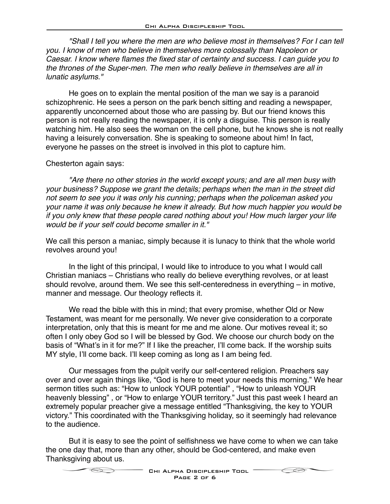*"Shall I tell you where the men are who believe most in themselves? For I can tell you. I know of men who believe in themselves more colossally than Napoleon or Caesar. I know where flames the fixed star of certainty and success. I can guide you to the thrones of the Super-men. The men who really believe in themselves are all in lunatic asylums."*

He goes on to explain the mental position of the man we say is a paranoid schizophrenic. He sees a person on the park bench sitting and reading a newspaper, apparently unconcerned about those who are passing by. But our friend knows this person is not really reading the newspaper, it is only a disguise. This person is really watching him. He also sees the woman on the cell phone, but he knows she is not really having a leisurely conversation. She is speaking to someone about him! In fact, everyone he passes on the street is involved in this plot to capture him.

#### Chesterton again says:

*"Are there no other stories in the world except yours; and are all men busy with your business? Suppose we grant the details; perhaps when the man in the street did not seem to see you it was only his cunning; perhaps when the policeman asked you your name it was only because he knew it already. But how much happier you would be if you only knew that these people cared nothing about you! How much larger your life would be if your self could become smaller in it."*

We call this person a maniac, simply because it is lunacy to think that the whole world revolves around you!

In the light of this principal, I would like to introduce to you what I would call Christian maniacs – Christians who really do believe everything revolves, or at least should revolve, around them. We see this self-centeredness in everything – in motive, manner and message. Our theology reflects it.

We read the bible with this in mind; that every promise, whether Old or New Testament, was meant for me personally. We never give consideration to a corporate interpretation, only that this is meant for me and me alone. Our motives reveal it; so often I only obey God so I will be blessed by God. We choose our church body on the basis of "What's in it for me?" If I like the preacher, I'll come back. If the worship suits MY style, I'll come back. I'll keep coming as long as I am being fed.

Our messages from the pulpit verify our self-centered religion. Preachers say over and over again things like, "God is here to meet your needs this morning." We hear sermon titles such as: "How to unlock YOUR potential" , "How to unleash YOUR heavenly blessing" , or "How to enlarge YOUR territory." Just this past week I heard an extremely popular preacher give a message entitled "Thanksgiving, the key to YOUR victory." This coordinated with the Thanksgiving holiday, so it seemingly had relevance to the audience.

But it is easy to see the point of selfishness we have come to when we can take the one day that, more than any other, should be God-centered, and make even Thanksgiving about us.



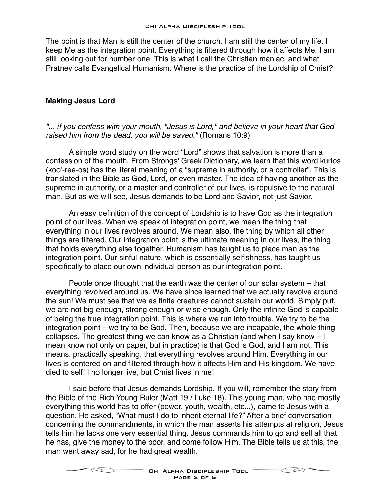The point is that Man is still the center of the church. I am still the center of my life. I keep Me as the integration point. Everything is filtered through how it affects Me. I am still looking out for number one. This is what I call the Christian maniac, and what Pratney calls Evangelical Humanism. Where is the practice of the Lordship of Christ?

#### **Making Jesus Lord**

#### *"... if you confess with your mouth, "Jesus is Lord," and believe in your heart that God raised him from the dead, you will be saved."* (Romans 10:9)

A simple word study on the word "Lord" shows that salvation is more than a confession of the mouth. From Strongs' Greek Dictionary, we learn that this word kurios (koo'-ree-os) has the literal meaning of a "supreme in authority, or a controller". This is translated in the Bible as God, Lord, or even master. The idea of having another as the supreme in authority, or a master and controller of our lives, is repulsive to the natural man. But as we will see, Jesus demands to be Lord and Savior, not just Savior.

An easy definition of this concept of Lordship is to have God as the integration point of our lives. When we speak of integration point, we mean the thing that everything in our lives revolves around. We mean also, the thing by which all other things are filtered. Our integration point is the ultimate meaning in our lives, the thing that holds everything else together. Humanism has taught us to place man as the integration point. Our sinful nature, which is essentially selfishness, has taught us specifically to place our own individual person as our integration point.

People once thought that the earth was the center of our solar system – that everything revolved around us. We have since learned that we actually revolve around the sun! We must see that we as finite creatures cannot sustain our world. Simply put, we are not big enough, strong enough or wise enough. Only the infinite God is capable of being the true integration point. This is where we run into trouble. We try to be the integration point – we try to be God. Then, because we are incapable, the whole thing collapses. The greatest thing we can know as a Christian (and when I say know – I mean know not only on paper, but in practice) is that God is God, and I am not. This means, practically speaking, that everything revolves around Him. Everything in our lives is centered on and filtered through how it affects Him and His kingdom. We have died to self! I no longer live, but Christ lives in me!

I said before that Jesus demands Lordship. If you will, remember the story from the Bible of the Rich Young Ruler (Matt 19 / Luke 18). This young man, who had mostly everything this world has to offer (power, youth, wealth, etc...), came to Jesus with a question. He asked, "What must I do to inherit eternal life?" After a brief conversation concerning the commandments, in which the man asserts his attempts at religion, Jesus tells him he lacks one very essential thing. Jesus commands him to go and sell all that he has, give the money to the poor, and come follow Him. The Bible tells us at this, the man went away sad, for he had great wealth.



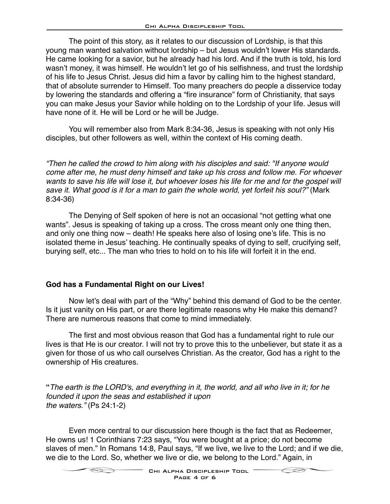The point of this story, as it relates to our discussion of Lordship, is that this young man wanted salvation without lordship – but Jesus wouldn't lower His standards. He came looking for a savior, but he already had his lord. And if the truth is told, his lord wasn't money, it was himself. He wouldn't let go of his selfishness, and trust the lordship of his life to Jesus Christ. Jesus did him a favor by calling him to the highest standard, that of absolute surrender to Himself. Too many preachers do people a disservice today by lowering the standards and offering a "fire insurance" form of Christianity, that says you can make Jesus your Savior while holding on to the Lordship of your life. Jesus will have none of it. He will be Lord or he will be Judge.

You will remember also from Mark 8:34-36, Jesus is speaking with not only His disciples, but other followers as well, within the context of His coming death.

*"Then he called the crowd to him along with his disciples and said: "If anyone would come after me, he must deny himself and take up his cross and follow me. For whoever*  wants to save his life will lose it, but whoever loses his life for me and for the gospel will save it. What good is it for a man to gain the whole world, yet forfeit his soul?" (Mark 8:34-36)

The Denying of Self spoken of here is not an occasional "not getting what one wants". Jesus is speaking of taking up a cross. The cross meant only one thing then, and only one thing now – death! He speaks here also of losing one's life. This is no isolated theme in Jesus' teaching. He continually speaks of dying to self, crucifying self, burying self, etc... The man who tries to hold on to his life will forfeit it in the end.

## **God has a Fundamental Right on our Lives!**

Now let's deal with part of the "Why" behind this demand of God to be the center. Is it just vanity on His part, or are there legitimate reasons why He make this demand? There are numerous reasons that come to mind immediately.

The first and most obvious reason that God has a fundamental right to rule our lives is that He is our creator. I will not try to prove this to the unbeliever, but state it as a given for those of us who call ourselves Christian. As the creator, God has a right to the ownership of His creatures.

**"***The earth is the LORD's, and everything in it, the world, and all who live in it; for he founded it upon the seas and established it upon the waters."* (Ps 24:1-2)

Even more central to our discussion here though is the fact that as Redeemer, He owns us! 1 Corinthians 7:23 says, "You were bought at a price; do not become slaves of men." In Romans 14:8, Paul says, "If we live, we live to the Lord; and if we die, we die to the Lord. So, whether we live or die, we belong to the Lord." Again, in

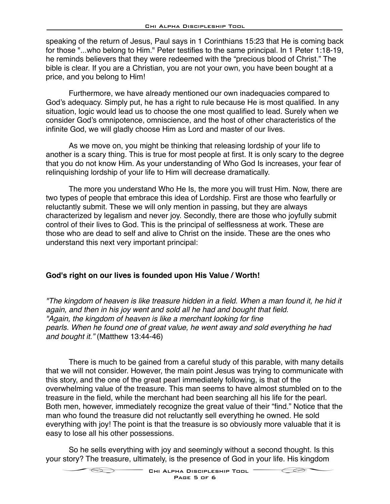speaking of the return of Jesus, Paul says in 1 Corinthians 15:23 that He is coming back for those "...who belong to Him." Peter testifies to the same principal. In 1 Peter 1:18-19, he reminds believers that they were redeemed with the "precious blood of Christ." The bible is clear. If you are a Christian, you are not your own, you have been bought at a price, and you belong to Him!

Furthermore, we have already mentioned our own inadequacies compared to God's adequacy. Simply put, he has a right to rule because He is most qualified. In any situation, logic would lead us to choose the one most qualified to lead. Surely when we consider God's omnipotence, omniscience, and the host of other characteristics of the infinite God, we will gladly choose Him as Lord and master of our lives.

As we move on, you might be thinking that releasing lordship of your life to another is a scary thing. This is true for most people at first. It is only scary to the degree that you do not know Him. As your understanding of Who God Is increases, your fear of relinquishing lordship of your life to Him will decrease dramatically.

The more you understand Who He Is, the more you will trust Him. Now, there are two types of people that embrace this idea of Lordship. First are those who fearfully or reluctantly submit. These we will only mention in passing, but they are always characterized by legalism and never joy. Secondly, there are those who joyfully submit control of their lives to God. This is the principal of selflessness at work. These are those who are dead to self and alive to Christ on the inside. These are the ones who understand this next very important principal:

## **God's right on our lives is founded upon His Value / Worth!**

*"The kingdom of heaven is like treasure hidden in a field. When a man found it, he hid it again, and then in his joy went and sold all he had and bought that field. "Again, the kingdom of heaven is like a merchant looking for fine pearls. When he found one of great value, he went away and sold everything he had and bought it."* (Matthew 13:44-46)

There is much to be gained from a careful study of this parable, with many details that we will not consider. However, the main point Jesus was trying to communicate with this story, and the one of the great pearl immediately following, is that of the overwhelming value of the treasure. This man seems to have almost stumbled on to the treasure in the field, while the merchant had been searching all his life for the pearl. Both men, however, immediately recognize the great value of their "find." Notice that the man who found the treasure did not reluctantly sell everything he owned. He sold everything with joy! The point is that the treasure is so obviously more valuable that it is easy to lose all his other possessions.

So he sells everything with joy and seemingly without a second thought. Is this your story? The treasure, ultimately, is the presence of God in your life. His kingdom